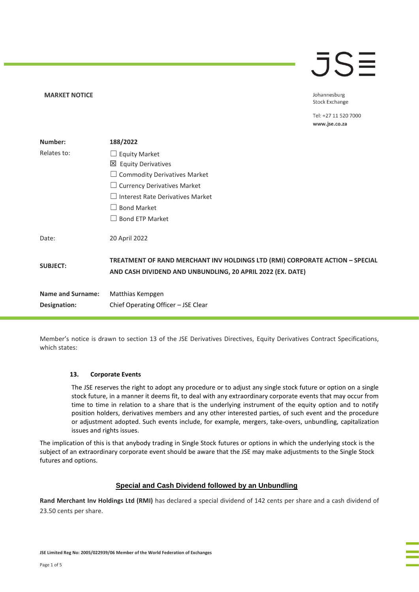## $\overline{\mathsf{J}}\mathsf{S}\mathsf{\Xi}$

Johannesburg **Stock Exchange** 

Tel: +27 11 520 7000 www.jse.co.za

| Number:                  | 188/2022                                                                                                                                   |  |
|--------------------------|--------------------------------------------------------------------------------------------------------------------------------------------|--|
| Relates to:              | $\Box$ Equity Market                                                                                                                       |  |
|                          | $\boxtimes$ Equity Derivatives                                                                                                             |  |
|                          | $\Box$ Commodity Derivatives Market                                                                                                        |  |
|                          | $\Box$ Currency Derivatives Market                                                                                                         |  |
|                          | $\Box$ Interest Rate Derivatives Market                                                                                                    |  |
|                          | <b>Bond Market</b>                                                                                                                         |  |
|                          | <b>Bond ETP Market</b>                                                                                                                     |  |
| Date:                    | 20 April 2022                                                                                                                              |  |
| <b>SUBJECT:</b>          | TREATMENT OF RAND MERCHANT INV HOLDINGS LTD (RMI) CORPORATE ACTION - SPECIAL<br>AND CASH DIVIDEND AND UNBUNDLING, 20 APRIL 2022 (EX. DATE) |  |
| <b>Name and Surname:</b> | Matthias Kempgen                                                                                                                           |  |
| Designation:             | Chief Operating Officer - JSE Clear                                                                                                        |  |

Member's notice is drawn to section 13 of the JSE Derivatives Directives, Equity Derivatives Contract Specifications, which states:

#### **13. Corporate Events**

**MARKET NOTICE** 

The JSE reserves the right to adopt any procedure or to adjust any single stock future or option on a single stock future, in a manner it deems fit, to deal with any extraordinary corporate events that may occur from time to time in relation to a share that is the underlying instrument of the equity option and to notify position holders, derivatives members and any other interested parties, of such event and the procedure or adjustment adopted. Such events include, for example, mergers, take-overs, unbundling, capitalization issues and rights issues.

The implication of this is that anybody trading in Single Stock futures or options in which the underlying stock is the subject of an extraordinary corporate event should be aware that the JSE may make adjustments to the Single Stock futures and options.

#### **Special and Cash Dividend followed by an Unbundling**

**Rand Merchant Inv Holdings Ltd (RMI)** has declared a special dividend of 142 cents per share and a cash dividend of 23.50 cents per share.

**JSE Limited Reg No: 2005/022939/06 Member of the World Federation of Exchanges**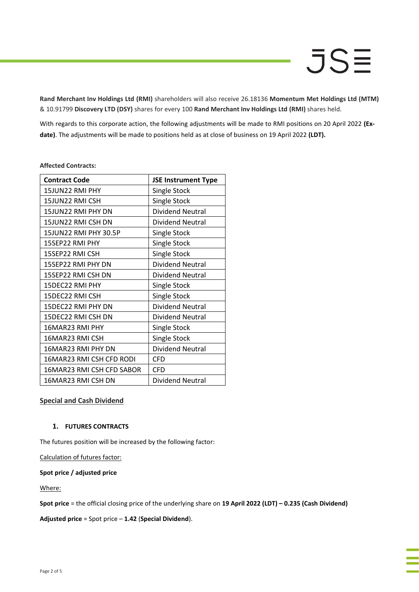**Rand Merchant Inv Holdings Ltd (RMI)** shareholders will also receive 26.18136 **Momentum Met Holdings Ltd (MTM)** & 10.91799 **Discovery LTD (DSY)** shares for every 100 **Rand Merchant Inv Holdings Ltd (RMI)** shares held.

With regards to this corporate action, the following adjustments will be made to RMI positions on 20 April 2022 **(Exdate)**. The adjustments will be made to positions held as at close of business on 19 April 2022 **(LDT).**

| <b>Contract Code</b>      | <b>JSE Instrument Type</b> |
|---------------------------|----------------------------|
| 15JUN22 RMI PHY           | Single Stock               |
| 15JUN22 RMI CSH           | Single Stock               |
| 15JUN22 RMI PHY DN        | Dividend Neutral           |
| 15JUN22 RMI CSH DN        | Dividend Neutral           |
| 15JUN22 RMI PHY 30.5P     | Single Stock               |
| 15SEP22 RMI PHY           | Single Stock               |
| 15SEP22 RMI CSH           | Single Stock               |
| 15SEP22 RMI PHY DN        | <b>Dividend Neutral</b>    |
| 15SEP22 RMI CSH DN        | Dividend Neutral           |
| 15DEC22 RMI PHY           | Single Stock               |
| 15DEC22 RMI CSH           | Single Stock               |
| 15DEC22 RMI PHY DN        | <b>Dividend Neutral</b>    |
| 15DEC22 RMI CSH DN        | Dividend Neutral           |
| 16MAR23 RMI PHY           | Single Stock               |
| 16MAR23 RMI CSH           | Single Stock               |
| 16MAR23 RMI PHY DN        | <b>Dividend Neutral</b>    |
| 16MAR23 RMI CSH CFD RODI  | CFD                        |
| 16MAR23 RMI CSH CFD SABOR | <b>CFD</b>                 |
| 16MAR23 RMI CSH DN        | Dividend Neutral           |

#### **Affected Contracts:**

## **Special and Cash Dividend**

#### **1. FUTURES CONTRACTS**

The futures position will be increased by the following factor:

Calculation of futures factor:

## **Spot price / adjusted price**

Where:

**Spot price** = the official closing price of the underlying share on **19 April 2022 (LDT) – 0.235 (Cash Dividend)**

**Adjusted price** = Spot price – **1.42** (**Special Dividend**).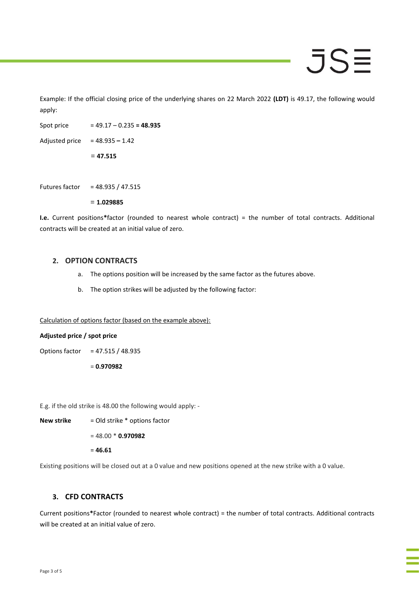# JSE

Example: If the official closing price of the underlying shares on 22 March 2022 **(LDT)** is 49.17, the following would apply:

Spot price = 49.17 – 0.235 **= 48.935**

Adjusted price = 48.935 **–** 1.42

= **47.515**

Futures factor = 48.935 / 47.515

= **1.029885**

**I.e.** Current positions**\***factor (rounded to nearest whole contract) = the number of total contracts. Additional contracts will be created at an initial value of zero.

#### **2. OPTION CONTRACTS**

- a. The options position will be increased by the same factor as the futures above.
- b. The option strikes will be adjusted by the following factor:

Calculation of options factor (based on the example above):

#### **Adjusted price / spot price**

Options factor = 47.515 / 48.935

= **0.970982**

E.g. if the old strike is 48.00 the following would apply: -

**New strike** = Old strike \* options factor

= 48.00 \* **0.970982**

= **46.61**

Existing positions will be closed out at a 0 value and new positions opened at the new strike with a 0 value.

## **3. CFD CONTRACTS**

Current positions**\***Factor (rounded to nearest whole contract) = the number of total contracts. Additional contracts will be created at an initial value of zero.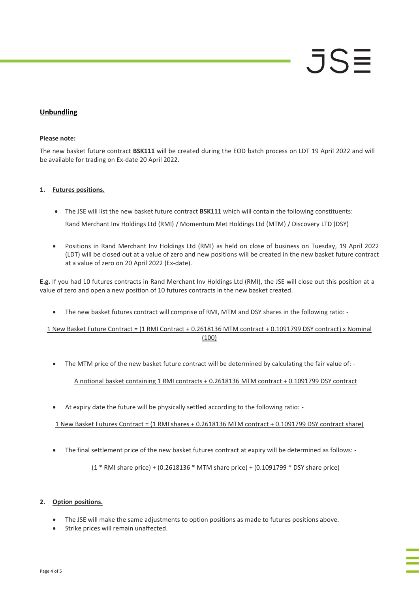## **Unbundling**

### **Please note:**

The new basket future contract **BSK111** will be created during the EOD batch process on LDT 19 April 2022 and will be available for trading on Ex-date 20 April 2022.

## **1. Futures positions.**

- The JSE will list the new basket future contract **BSK111** which will contain the following constituents: Rand Merchant Inv Holdings Ltd (RMI) / Momentum Met Holdings Ltd (MTM) / Discovery LTD (DSY)
- Positions in Rand Merchant Inv Holdings Ltd (RMI) as held on close of business on Tuesday, 19 April 2022 (LDT) will be closed out at a value of zero and new positions will be created in the new basket future contract at a value of zero on 20 April 2022 (Ex-date).

**E.g.** If you had 10 futures contracts in Rand Merchant Inv Holdings Ltd (RMI), the JSE will close out this position at a value of zero and open a new position of 10 futures contracts in the new basket created.

• The new basket futures contract will comprise of RMI, MTM and DSY shares in the following ratio: -

## 1 New Basket Future Contract = (1 RMI Contract + 0.2618136 MTM contract + 0.1091799 DSY contract) x Nominal (100)

• The MTM price of the new basket future contract will be determined by calculating the fair value of: -

A notional basket containing 1 RMI contracts + 0.2618136 MTM contract + 0.1091799 DSY contract

• At expiry date the future will be physically settled according to the following ratio: -

1 New Basket Futures Contract = (1 RMI shares + 0.2618136 MTM contract + 0.1091799 DSY contract share)

• The final settlement price of the new basket futures contract at expiry will be determined as follows: -

(1 \* RMI share price) + (0.2618136 \* MTM share price) + (0.1091799 \* DSY share price)

## **2. Option positions.**

- The JSE will make the same adjustments to option positions as made to futures positions above.
- Strike prices will remain unaffected.